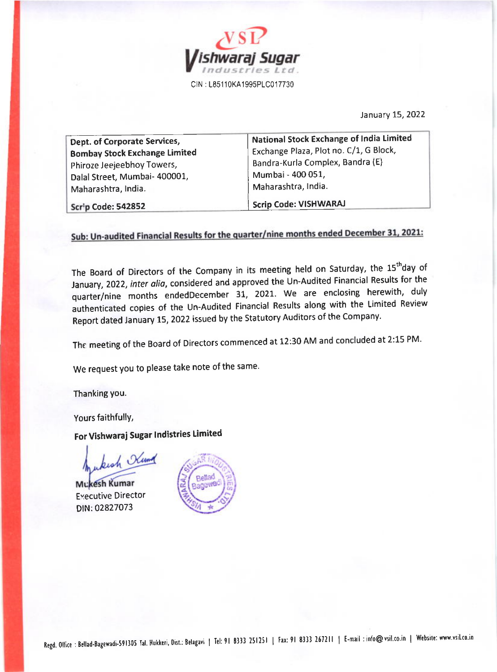

January 15, 2022

| Dept. of Corporate Services,         | National Stock Exchange of India Limited |
|--------------------------------------|------------------------------------------|
| <b>Bombay Stock Exchange Limited</b> | Exchange Plaza, Plot no. C/1, G Block,   |
| Phiroze Jeejeebhoy Towers,           | Bandra-Kurla Complex, Bandra (E)         |
| Dalal Street, Mumbai- 400001,        | Mumbai - 400 051,                        |
| Maharashtra, India.                  | Maharashtra, India.                      |
| Scrip Code: 542852                   | Scrip Code: VISHWARAJ                    |

### Sub: Un-audited Financial Results for the quarter/nine months ended December 31, 2021:

The Board of Directors of the Company in its meeting held on Saturday, the 15<sup>th</sup>day of lanuary,2022, inter olio, considered and approved the Un-Audited Financial Results for the quarter/nine months endedDecember 31, 2021. We are enclosing herewith, duly authenticated copies of the Un-Audited Financial Results along with the Limited Review Report dated January 15, 2022 issued by the Statutory Auditors of the Company.

The meeting of the Board of Directors commenced at 12:30 AM and concluded at 2:15 PM.

We request you to please take note of the same.

Thanking you.

Yours faithfullY,

For Vishwaraj Sugar Indistries Limited

wkish Kund

Mukesh Kumar EYecutive Director DIN:02827073

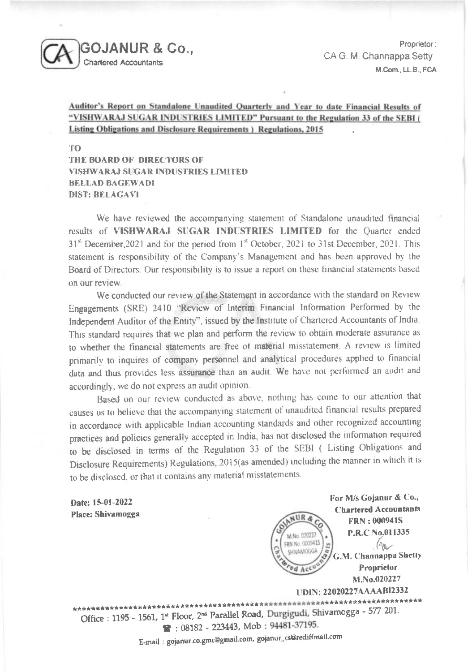

Proprietor: CA G. M. Channappa Setty M.Com., LL.B., FCA

For M/s Gojanur & Co.,

**Chartered Accountants** 

 $(n_{\rm B}$ 

G.M. Channappa Shetty Proprietor

M.No.020227

**FRN: 000941S** P.R.C.No.011335

#### Auditor's Report on Standalone Unaudited Quarterly and Year to date Financial Results of "VISHWARAJ SUGAR INDUSTRIES LIMITED" Pursuant to the Regulation 33 of the SEBI ( Listing Obligations and Disclosure Requirements ) Regulations, 2015

TO

THE BOARD OF DIRECTORS OF **VISHWARAJ SUGAR INDUSTRIES LIMITED BELLAD BAGEWADI DIST: BELAGAVI** 

We have reviewed the accompanying statement of Standalone unaudited financial results of VISHWARAJ SUGAR INDUSTRIES LIMITED for the Quarter ended 31<sup>st</sup> December, 2021 and for the period from 1<sup>st</sup> October, 2021 to 31st December, 2021. This statement is responsibility of the Company's Management and has been approved by the Board of Directors. Our responsibility is to issue a report on these financial statements based on our review.

We conducted our review of the Statement in accordance with the standard on Review Engagements (SRE) 2410 "Review of Interim Financial Information Performed by the Independent Auditor of the Entity", issued by the Institute of Chartered Accountants of India. This standard requires that we plan and perform the review to obtain moderate assurance as to whether the financial statements are free of material misstatement. A review is limited primarily to inquires of company personnel and analytical procedures applied to financial data and thus provides less assurance than an audit. We have not performed an audit and accordingly, we do not express an audit opinion.

Based on our review conducted as above, nothing has come to our attention that causes us to believe that the accompanying statement of unaudited financial results prepared in accordance with applicable Indian accounting standards and other recognized accounting practices and policies generally accepted in India, has not disclosed the information required to be disclosed in terms of the Regulation 33 of the SEBI ( Listing Obligations and Disclosure Requirements) Regulations, 2015(as amended) including the manner in which it is to be disclosed, or that it contains any material misstatements.

 $4 \text{U} R$ 

M.No. 020227 FRN No. 0009415

SHIVAMOGGA

ed Acc

Date: 15-01-2022 Place: Shivamogga

**UDIN: 22020227AAAABI2332** \*\*\*\*\*\*\*\*\*\*\*\*\*\*\*\*\*\*\*\*\*\*\*\*\*\* Office : 1195 - 1561, 1st Floor, 2nd Parallel Road, Durgigudi, Shivamogga - 577 201. 2:08182 - 223443, Mob: 94481-37195.

E-mail: gojanur.co.gmc@gmail.com, gojanur\_cs@rediffmail.com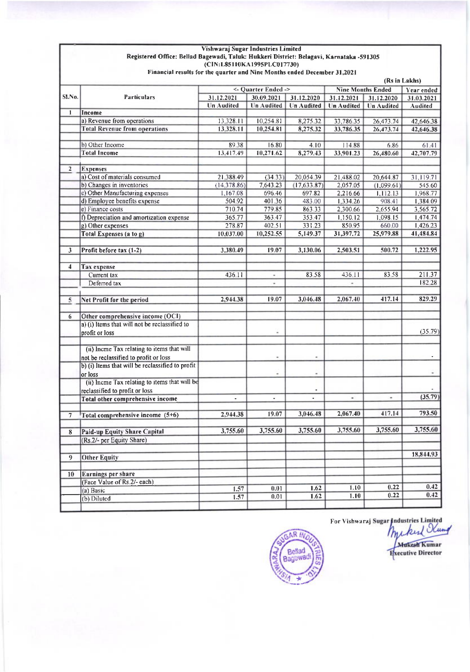### Vishwaraj Sugar Industries Limited Registered Office: Bellad Bagewadi, Taluk: Hukkeri District: Belagavi, Karnataka -591305<br>(CIN:L85110KA1995PLC017730) Financial results for the quarter and Nine Months ended December 31,2021

|                         | (Rs in Lakhs)                                    |                   |                          |                   |                                        |                   |                    |  |
|-------------------------|--------------------------------------------------|-------------------|--------------------------|-------------------|----------------------------------------|-------------------|--------------------|--|
|                         | <b>Particulars</b>                               |                   | <- Quarter Ended ->      |                   | <b>Nine Months Ended</b><br>Year ended |                   |                    |  |
| SLNo.                   |                                                  | 31.12.2021        | 31.12.2020<br>30.09.2021 |                   | 31.12.2021                             | 31.12.2020        | 31.03.2021         |  |
|                         |                                                  | <b>Un Audited</b> | <b>Un Audited</b>        | <b>Un</b> Audited | <b>Un Audited</b>                      | <b>Un Audited</b> | Audited            |  |
| $\mathbf{1}$            | Income                                           |                   |                          |                   |                                        |                   |                    |  |
|                         | a) Revenue from operations                       | 13,328.11         | 10,254.81                | 8,275,32          | 33,786 35                              | 26,473.74         | 42,646.38          |  |
|                         | <b>Total Revenue from operations</b>             | 13.328.11         | 10,254.81                | 8,275.32          | 33,786.35                              | 26,473.74         | 42,646.38          |  |
|                         | b) Other Income                                  | 8938              | 16.80                    |                   |                                        |                   |                    |  |
|                         | <b>Total Income</b>                              | 13,417.49         | 10,271.62                | 4:10<br>8,279.43  | 114.88<br>33,901.23                    | 6.86<br>26,480.60 | 61.41<br>42,707.79 |  |
|                         |                                                  |                   |                          |                   |                                        |                   |                    |  |
| $\overline{2}$          | <b>Expenses</b>                                  |                   |                          |                   |                                        |                   |                    |  |
|                         | a) Cost of materials consumed                    | 21,388.49         | (34.33)                  | 20,054.39         | 21,488.02                              | 20,644.87         | 31,119,71          |  |
|                         | b) Changes in inventories                        | (14.378.86)       | 7,643.23                 | (17,633,87)       | 2,057.05                               | (1,099.61)        | 545.60             |  |
|                         | c) Other Manufacturing expenses                  | 1,167.08          | 696.46                   | 697.82            | 2,216,66                               | 1,112.13          | 1,968,77           |  |
|                         | d) Employee benefits expense                     | 504.92            | 401,36                   | 483.00            | 1,334.26                               | 908.41            | 1,384.09           |  |
|                         | e) Finance costs                                 | 710.74            | 779.85                   | 863.33            | 2,300.66                               | 2,655.94          | 3,565.72           |  |
|                         | f) Depreciation and amortization expense         | 365,77            | 363.47                   | 353.47            | 1,150.12                               | 1,098.15          | 1,474,74           |  |
|                         | g) Other expenses                                | 278.87            | 402.51                   | 331.23            | 850.95                                 | 660.00            | 1,426,23           |  |
|                         | <b>Total Expenses (a to g)</b>                   | 10,037.00         | 10,252.55                | 5,149.37          | 31,397.72                              | 25,979.88         | 41,484.84          |  |
|                         |                                                  |                   |                          |                   |                                        |                   |                    |  |
| $\overline{\mathbf{3}}$ | Profit before tax (1-2)                          | 3,380.49          | 19.07                    | 3,130.06          | 2,503.51                               | 500.72            | 1,222.95           |  |
|                         |                                                  |                   |                          |                   |                                        |                   |                    |  |
| 4                       | <b>Tax</b> expense                               |                   |                          |                   |                                        |                   |                    |  |
|                         | Current tax                                      | 436.11            | ۰                        | 83.58             | 436.11                                 | 83.58             | 211.37             |  |
|                         | Deferred tax                                     |                   | ٠                        |                   | ٠                                      |                   | 182.28             |  |
|                         |                                                  |                   |                          |                   |                                        |                   |                    |  |
| 5                       | Net Profit for the period                        | 2,944.38          | 19.07                    | 3,046.48          | 2,067.40                               | 417.14            | 829.29             |  |
|                         |                                                  |                   |                          |                   |                                        |                   |                    |  |
| 6                       | Other comprehensive income (OCI)                 |                   |                          |                   |                                        |                   |                    |  |
|                         | a) (i) Items that will not be reclassified to    |                   |                          |                   |                                        |                   | (35.79)            |  |
|                         | profit or loss                                   |                   |                          |                   |                                        |                   |                    |  |
|                         | (ii) Incme Tax relating to items that will       |                   |                          |                   |                                        |                   |                    |  |
|                         | not be reclassified to profit or loss            |                   |                          |                   |                                        |                   |                    |  |
|                         | b) (i) Items that will be reclassified to profit |                   |                          |                   |                                        |                   |                    |  |
|                         | or loss                                          |                   | ۰                        | ۰                 |                                        |                   |                    |  |
|                         | (ii) Incme Tax relating to items that will be    |                   |                          |                   |                                        |                   |                    |  |
|                         | reclassified to profit or loss                   |                   |                          |                   |                                        |                   |                    |  |
|                         | Total other comprehensive income                 | ÷.                | ٠                        | ٠                 | ×,                                     | ٠                 | (35.79)            |  |
|                         |                                                  |                   |                          |                   |                                        |                   |                    |  |
| 7                       | Total comprehensive income (5+6)                 | 2,944.38          | 19.07                    | 3,046.48          | 2,067.40                               | 417.14            | 793.50             |  |
|                         |                                                  |                   |                          |                   |                                        |                   |                    |  |
| 8                       | <b>Paid-up Equity Share Capital</b>              | 3,755.60          | 3,755.60                 | 3,755.60          | 3,755.60                               | 3,755.60          | 3,755.60           |  |
|                         | (Rs.2/- per Equity Share)                        |                   |                          |                   |                                        |                   |                    |  |
|                         |                                                  |                   |                          |                   |                                        |                   |                    |  |
| $\overline{9}$          | <b>Other Equity</b>                              |                   |                          |                   |                                        |                   | 18,844.93          |  |
|                         |                                                  |                   |                          |                   |                                        |                   |                    |  |
| 10                      | Earnings per share                               |                   |                          |                   |                                        |                   |                    |  |
|                         | (Face Value of Rs.2/- each)                      |                   |                          |                   |                                        |                   | 0.42               |  |
|                         | (a) Basic                                        | 1.57              | 0.01                     | 1.62              | 1.10                                   | 0.22<br>0.22      | 0.42               |  |
|                         | (b) Diluted                                      | 1.57              | 0.01                     | 1.62              | 1.10                                   |                   |                    |  |
|                         |                                                  |                   |                          |                   |                                        |                   |                    |  |



For Vishwaraj Sugar Industries Limited<br>Muckers Utung **Mukesh Kumar Fxecutive Director**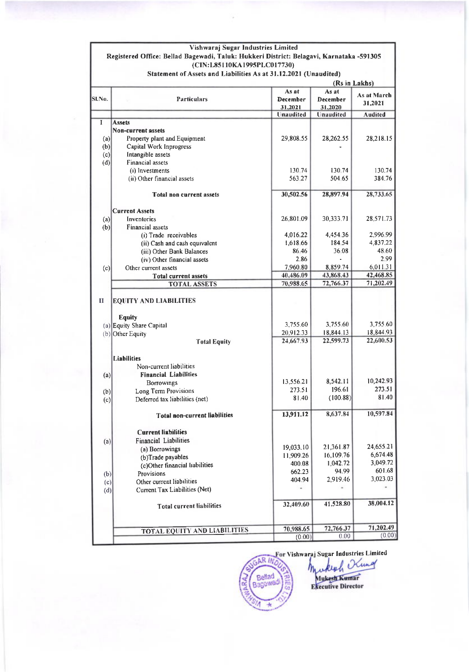# Vishwaraj Sugar Industries Limited<br>Registered Office: Bellad Bagewadi, Taluk: Hukkeri District: Belagavi, Karnataka -591305<br>(CIN:L85110KA1995PLC017730) Statement of Assets and Liabilities As at 31.12.2021 (Unaudited)

| As at<br>As at<br><b>Particulars</b><br>December<br>December<br>31,2021<br>31.2021<br>31.2020<br><b>Unaudited</b><br><b>Unaudited</b><br>Audited<br>I<br><b>Assets</b><br>Non-current assets<br>29,808.55<br>28,262.55<br>Property plant and Equipment<br>28,218.15<br>(a)<br>(b)<br>Capital Work Inprogress<br>Intangible assets<br>(c)<br>Financial assets<br>(d)<br>(i) Investments<br>130.74<br>130.74<br>130.74<br>(ii) Other financial assets<br>563.27<br>504.65<br>384.76<br>28,897.94<br>30,502.56<br><b>Total non current assets</b><br><b>Current Assets</b><br>26,801.09<br>30,333.71<br>Inventories<br>(a)<br>(b)<br><b>Financial assets</b><br>4,454,36<br>4,016.22<br>(i) Trade receivables<br>1,618.66<br>184.54<br>(ii) Cash and cash equivalent<br>36.08<br>(iii) Other Bank Balances<br>86.46<br>2.86<br>(iv) Other financial assets<br>7,960.80<br>8,859.74<br>Other current assets<br>(c)<br>40,486.09<br>43.868.43<br><b>Total current assets</b><br>71,202.49<br>72,766.37<br>70,988.65<br><b>TOTAL ASSETS</b><br>$\mathbf{I}$<br><b>EQUITY AND LIABILITIES</b><br><b>Equity</b><br>3,755.60<br>3,755.60<br>(a) Equity Share Capital<br>18,844.13<br>18,844.93<br>20,912.33<br>(b) Other Equity<br>22,599.73<br>22,600.53<br>24,667.93<br><b>Total Equity</b><br>Liabilities<br>Non-current liabilities<br><b>Financial Liabilities</b><br>(a)<br>10,242.93<br>8,542.11<br>13,556.21<br><b>Borrowings</b><br>273.51<br>196.61<br>273.51<br>Long Term Provisions<br>(b)<br>81.40<br>(100.88)<br>81.40<br>Deferred tax liabilities (net)<br>(c)<br>8,637.84<br>13,911.12<br><b>Total non-current liabilities</b><br><b>Current liabilities</b><br><b>Financial Liabilities</b><br>(a)<br>24,655.21<br>21,361.87<br>19,033.10<br>(a) Borrowings<br>6,674.48<br>11,909.26<br>16,109.76<br>(b)Trade payables<br>3,049.72<br>1,042.72<br>400.08<br>(c)Other financial liabilities<br>601.68<br>94.99<br>662.23<br>Provisions<br>(b)<br>3,023.03<br>2,919.46<br>404.94<br>Other current liabilities<br>(c)<br>ä.<br>$\alpha$<br>Current Tax Liabilities (Net)<br>(d)<br>41,528.80<br>32,409.60<br><b>Total current liabilities</b><br>72,766.37<br>70,988.65<br><b>TOTAL EQUITY AND LIABILITIES</b> |        | (Rs in Lakhs) |      |             |  |
|---------------------------------------------------------------------------------------------------------------------------------------------------------------------------------------------------------------------------------------------------------------------------------------------------------------------------------------------------------------------------------------------------------------------------------------------------------------------------------------------------------------------------------------------------------------------------------------------------------------------------------------------------------------------------------------------------------------------------------------------------------------------------------------------------------------------------------------------------------------------------------------------------------------------------------------------------------------------------------------------------------------------------------------------------------------------------------------------------------------------------------------------------------------------------------------------------------------------------------------------------------------------------------------------------------------------------------------------------------------------------------------------------------------------------------------------------------------------------------------------------------------------------------------------------------------------------------------------------------------------------------------------------------------------------------------------------------------------------------------------------------------------------------------------------------------------------------------------------------------------------------------------------------------------------------------------------------------------------------------------------------------------------------------------------------------------------------------------------------------------------------------------------------------------------------------------------------------------|--------|---------------|------|-------------|--|
|                                                                                                                                                                                                                                                                                                                                                                                                                                                                                                                                                                                                                                                                                                                                                                                                                                                                                                                                                                                                                                                                                                                                                                                                                                                                                                                                                                                                                                                                                                                                                                                                                                                                                                                                                                                                                                                                                                                                                                                                                                                                                                                                                                                                                     | SI.No. |               |      | As at March |  |
|                                                                                                                                                                                                                                                                                                                                                                                                                                                                                                                                                                                                                                                                                                                                                                                                                                                                                                                                                                                                                                                                                                                                                                                                                                                                                                                                                                                                                                                                                                                                                                                                                                                                                                                                                                                                                                                                                                                                                                                                                                                                                                                                                                                                                     |        |               |      |             |  |
|                                                                                                                                                                                                                                                                                                                                                                                                                                                                                                                                                                                                                                                                                                                                                                                                                                                                                                                                                                                                                                                                                                                                                                                                                                                                                                                                                                                                                                                                                                                                                                                                                                                                                                                                                                                                                                                                                                                                                                                                                                                                                                                                                                                                                     |        |               |      |             |  |
|                                                                                                                                                                                                                                                                                                                                                                                                                                                                                                                                                                                                                                                                                                                                                                                                                                                                                                                                                                                                                                                                                                                                                                                                                                                                                                                                                                                                                                                                                                                                                                                                                                                                                                                                                                                                                                                                                                                                                                                                                                                                                                                                                                                                                     |        |               |      |             |  |
|                                                                                                                                                                                                                                                                                                                                                                                                                                                                                                                                                                                                                                                                                                                                                                                                                                                                                                                                                                                                                                                                                                                                                                                                                                                                                                                                                                                                                                                                                                                                                                                                                                                                                                                                                                                                                                                                                                                                                                                                                                                                                                                                                                                                                     |        |               |      |             |  |
|                                                                                                                                                                                                                                                                                                                                                                                                                                                                                                                                                                                                                                                                                                                                                                                                                                                                                                                                                                                                                                                                                                                                                                                                                                                                                                                                                                                                                                                                                                                                                                                                                                                                                                                                                                                                                                                                                                                                                                                                                                                                                                                                                                                                                     |        |               |      |             |  |
|                                                                                                                                                                                                                                                                                                                                                                                                                                                                                                                                                                                                                                                                                                                                                                                                                                                                                                                                                                                                                                                                                                                                                                                                                                                                                                                                                                                                                                                                                                                                                                                                                                                                                                                                                                                                                                                                                                                                                                                                                                                                                                                                                                                                                     |        |               |      |             |  |
|                                                                                                                                                                                                                                                                                                                                                                                                                                                                                                                                                                                                                                                                                                                                                                                                                                                                                                                                                                                                                                                                                                                                                                                                                                                                                                                                                                                                                                                                                                                                                                                                                                                                                                                                                                                                                                                                                                                                                                                                                                                                                                                                                                                                                     |        |               |      |             |  |
|                                                                                                                                                                                                                                                                                                                                                                                                                                                                                                                                                                                                                                                                                                                                                                                                                                                                                                                                                                                                                                                                                                                                                                                                                                                                                                                                                                                                                                                                                                                                                                                                                                                                                                                                                                                                                                                                                                                                                                                                                                                                                                                                                                                                                     |        |               |      |             |  |
|                                                                                                                                                                                                                                                                                                                                                                                                                                                                                                                                                                                                                                                                                                                                                                                                                                                                                                                                                                                                                                                                                                                                                                                                                                                                                                                                                                                                                                                                                                                                                                                                                                                                                                                                                                                                                                                                                                                                                                                                                                                                                                                                                                                                                     |        |               |      |             |  |
|                                                                                                                                                                                                                                                                                                                                                                                                                                                                                                                                                                                                                                                                                                                                                                                                                                                                                                                                                                                                                                                                                                                                                                                                                                                                                                                                                                                                                                                                                                                                                                                                                                                                                                                                                                                                                                                                                                                                                                                                                                                                                                                                                                                                                     |        |               |      | 28,733.65   |  |
|                                                                                                                                                                                                                                                                                                                                                                                                                                                                                                                                                                                                                                                                                                                                                                                                                                                                                                                                                                                                                                                                                                                                                                                                                                                                                                                                                                                                                                                                                                                                                                                                                                                                                                                                                                                                                                                                                                                                                                                                                                                                                                                                                                                                                     |        |               |      |             |  |
|                                                                                                                                                                                                                                                                                                                                                                                                                                                                                                                                                                                                                                                                                                                                                                                                                                                                                                                                                                                                                                                                                                                                                                                                                                                                                                                                                                                                                                                                                                                                                                                                                                                                                                                                                                                                                                                                                                                                                                                                                                                                                                                                                                                                                     |        |               |      | 28,571.73   |  |
|                                                                                                                                                                                                                                                                                                                                                                                                                                                                                                                                                                                                                                                                                                                                                                                                                                                                                                                                                                                                                                                                                                                                                                                                                                                                                                                                                                                                                                                                                                                                                                                                                                                                                                                                                                                                                                                                                                                                                                                                                                                                                                                                                                                                                     |        |               |      |             |  |
|                                                                                                                                                                                                                                                                                                                                                                                                                                                                                                                                                                                                                                                                                                                                                                                                                                                                                                                                                                                                                                                                                                                                                                                                                                                                                                                                                                                                                                                                                                                                                                                                                                                                                                                                                                                                                                                                                                                                                                                                                                                                                                                                                                                                                     |        |               |      | 2,996,99    |  |
|                                                                                                                                                                                                                                                                                                                                                                                                                                                                                                                                                                                                                                                                                                                                                                                                                                                                                                                                                                                                                                                                                                                                                                                                                                                                                                                                                                                                                                                                                                                                                                                                                                                                                                                                                                                                                                                                                                                                                                                                                                                                                                                                                                                                                     |        |               |      | 4,837.22    |  |
|                                                                                                                                                                                                                                                                                                                                                                                                                                                                                                                                                                                                                                                                                                                                                                                                                                                                                                                                                                                                                                                                                                                                                                                                                                                                                                                                                                                                                                                                                                                                                                                                                                                                                                                                                                                                                                                                                                                                                                                                                                                                                                                                                                                                                     |        |               |      | 48.60       |  |
|                                                                                                                                                                                                                                                                                                                                                                                                                                                                                                                                                                                                                                                                                                                                                                                                                                                                                                                                                                                                                                                                                                                                                                                                                                                                                                                                                                                                                                                                                                                                                                                                                                                                                                                                                                                                                                                                                                                                                                                                                                                                                                                                                                                                                     |        |               |      | 2.99        |  |
|                                                                                                                                                                                                                                                                                                                                                                                                                                                                                                                                                                                                                                                                                                                                                                                                                                                                                                                                                                                                                                                                                                                                                                                                                                                                                                                                                                                                                                                                                                                                                                                                                                                                                                                                                                                                                                                                                                                                                                                                                                                                                                                                                                                                                     |        |               |      | 6,011.31    |  |
|                                                                                                                                                                                                                                                                                                                                                                                                                                                                                                                                                                                                                                                                                                                                                                                                                                                                                                                                                                                                                                                                                                                                                                                                                                                                                                                                                                                                                                                                                                                                                                                                                                                                                                                                                                                                                                                                                                                                                                                                                                                                                                                                                                                                                     |        |               |      | 42,468.85   |  |
|                                                                                                                                                                                                                                                                                                                                                                                                                                                                                                                                                                                                                                                                                                                                                                                                                                                                                                                                                                                                                                                                                                                                                                                                                                                                                                                                                                                                                                                                                                                                                                                                                                                                                                                                                                                                                                                                                                                                                                                                                                                                                                                                                                                                                     |        |               |      |             |  |
|                                                                                                                                                                                                                                                                                                                                                                                                                                                                                                                                                                                                                                                                                                                                                                                                                                                                                                                                                                                                                                                                                                                                                                                                                                                                                                                                                                                                                                                                                                                                                                                                                                                                                                                                                                                                                                                                                                                                                                                                                                                                                                                                                                                                                     |        |               |      | 3,755.60    |  |
|                                                                                                                                                                                                                                                                                                                                                                                                                                                                                                                                                                                                                                                                                                                                                                                                                                                                                                                                                                                                                                                                                                                                                                                                                                                                                                                                                                                                                                                                                                                                                                                                                                                                                                                                                                                                                                                                                                                                                                                                                                                                                                                                                                                                                     |        |               |      |             |  |
|                                                                                                                                                                                                                                                                                                                                                                                                                                                                                                                                                                                                                                                                                                                                                                                                                                                                                                                                                                                                                                                                                                                                                                                                                                                                                                                                                                                                                                                                                                                                                                                                                                                                                                                                                                                                                                                                                                                                                                                                                                                                                                                                                                                                                     |        |               |      |             |  |
|                                                                                                                                                                                                                                                                                                                                                                                                                                                                                                                                                                                                                                                                                                                                                                                                                                                                                                                                                                                                                                                                                                                                                                                                                                                                                                                                                                                                                                                                                                                                                                                                                                                                                                                                                                                                                                                                                                                                                                                                                                                                                                                                                                                                                     |        |               |      |             |  |
|                                                                                                                                                                                                                                                                                                                                                                                                                                                                                                                                                                                                                                                                                                                                                                                                                                                                                                                                                                                                                                                                                                                                                                                                                                                                                                                                                                                                                                                                                                                                                                                                                                                                                                                                                                                                                                                                                                                                                                                                                                                                                                                                                                                                                     |        |               |      |             |  |
|                                                                                                                                                                                                                                                                                                                                                                                                                                                                                                                                                                                                                                                                                                                                                                                                                                                                                                                                                                                                                                                                                                                                                                                                                                                                                                                                                                                                                                                                                                                                                                                                                                                                                                                                                                                                                                                                                                                                                                                                                                                                                                                                                                                                                     |        |               |      |             |  |
|                                                                                                                                                                                                                                                                                                                                                                                                                                                                                                                                                                                                                                                                                                                                                                                                                                                                                                                                                                                                                                                                                                                                                                                                                                                                                                                                                                                                                                                                                                                                                                                                                                                                                                                                                                                                                                                                                                                                                                                                                                                                                                                                                                                                                     |        |               |      |             |  |
|                                                                                                                                                                                                                                                                                                                                                                                                                                                                                                                                                                                                                                                                                                                                                                                                                                                                                                                                                                                                                                                                                                                                                                                                                                                                                                                                                                                                                                                                                                                                                                                                                                                                                                                                                                                                                                                                                                                                                                                                                                                                                                                                                                                                                     |        |               |      |             |  |
|                                                                                                                                                                                                                                                                                                                                                                                                                                                                                                                                                                                                                                                                                                                                                                                                                                                                                                                                                                                                                                                                                                                                                                                                                                                                                                                                                                                                                                                                                                                                                                                                                                                                                                                                                                                                                                                                                                                                                                                                                                                                                                                                                                                                                     |        |               |      |             |  |
|                                                                                                                                                                                                                                                                                                                                                                                                                                                                                                                                                                                                                                                                                                                                                                                                                                                                                                                                                                                                                                                                                                                                                                                                                                                                                                                                                                                                                                                                                                                                                                                                                                                                                                                                                                                                                                                                                                                                                                                                                                                                                                                                                                                                                     |        |               |      | 10,597.84   |  |
|                                                                                                                                                                                                                                                                                                                                                                                                                                                                                                                                                                                                                                                                                                                                                                                                                                                                                                                                                                                                                                                                                                                                                                                                                                                                                                                                                                                                                                                                                                                                                                                                                                                                                                                                                                                                                                                                                                                                                                                                                                                                                                                                                                                                                     |        |               |      |             |  |
|                                                                                                                                                                                                                                                                                                                                                                                                                                                                                                                                                                                                                                                                                                                                                                                                                                                                                                                                                                                                                                                                                                                                                                                                                                                                                                                                                                                                                                                                                                                                                                                                                                                                                                                                                                                                                                                                                                                                                                                                                                                                                                                                                                                                                     |        |               |      |             |  |
|                                                                                                                                                                                                                                                                                                                                                                                                                                                                                                                                                                                                                                                                                                                                                                                                                                                                                                                                                                                                                                                                                                                                                                                                                                                                                                                                                                                                                                                                                                                                                                                                                                                                                                                                                                                                                                                                                                                                                                                                                                                                                                                                                                                                                     |        |               |      |             |  |
|                                                                                                                                                                                                                                                                                                                                                                                                                                                                                                                                                                                                                                                                                                                                                                                                                                                                                                                                                                                                                                                                                                                                                                                                                                                                                                                                                                                                                                                                                                                                                                                                                                                                                                                                                                                                                                                                                                                                                                                                                                                                                                                                                                                                                     |        |               |      |             |  |
|                                                                                                                                                                                                                                                                                                                                                                                                                                                                                                                                                                                                                                                                                                                                                                                                                                                                                                                                                                                                                                                                                                                                                                                                                                                                                                                                                                                                                                                                                                                                                                                                                                                                                                                                                                                                                                                                                                                                                                                                                                                                                                                                                                                                                     |        |               |      |             |  |
|                                                                                                                                                                                                                                                                                                                                                                                                                                                                                                                                                                                                                                                                                                                                                                                                                                                                                                                                                                                                                                                                                                                                                                                                                                                                                                                                                                                                                                                                                                                                                                                                                                                                                                                                                                                                                                                                                                                                                                                                                                                                                                                                                                                                                     |        |               |      |             |  |
|                                                                                                                                                                                                                                                                                                                                                                                                                                                                                                                                                                                                                                                                                                                                                                                                                                                                                                                                                                                                                                                                                                                                                                                                                                                                                                                                                                                                                                                                                                                                                                                                                                                                                                                                                                                                                                                                                                                                                                                                                                                                                                                                                                                                                     |        |               |      |             |  |
|                                                                                                                                                                                                                                                                                                                                                                                                                                                                                                                                                                                                                                                                                                                                                                                                                                                                                                                                                                                                                                                                                                                                                                                                                                                                                                                                                                                                                                                                                                                                                                                                                                                                                                                                                                                                                                                                                                                                                                                                                                                                                                                                                                                                                     |        |               |      |             |  |
|                                                                                                                                                                                                                                                                                                                                                                                                                                                                                                                                                                                                                                                                                                                                                                                                                                                                                                                                                                                                                                                                                                                                                                                                                                                                                                                                                                                                                                                                                                                                                                                                                                                                                                                                                                                                                                                                                                                                                                                                                                                                                                                                                                                                                     |        |               |      | 38,004.12   |  |
|                                                                                                                                                                                                                                                                                                                                                                                                                                                                                                                                                                                                                                                                                                                                                                                                                                                                                                                                                                                                                                                                                                                                                                                                                                                                                                                                                                                                                                                                                                                                                                                                                                                                                                                                                                                                                                                                                                                                                                                                                                                                                                                                                                                                                     |        |               |      | 71,202.49   |  |
|                                                                                                                                                                                                                                                                                                                                                                                                                                                                                                                                                                                                                                                                                                                                                                                                                                                                                                                                                                                                                                                                                                                                                                                                                                                                                                                                                                                                                                                                                                                                                                                                                                                                                                                                                                                                                                                                                                                                                                                                                                                                                                                                                                                                                     |        | (0.00)        | 0.00 | (0.00)      |  |

For Vishwaraj Sugar Industries Limited



Mukest Kung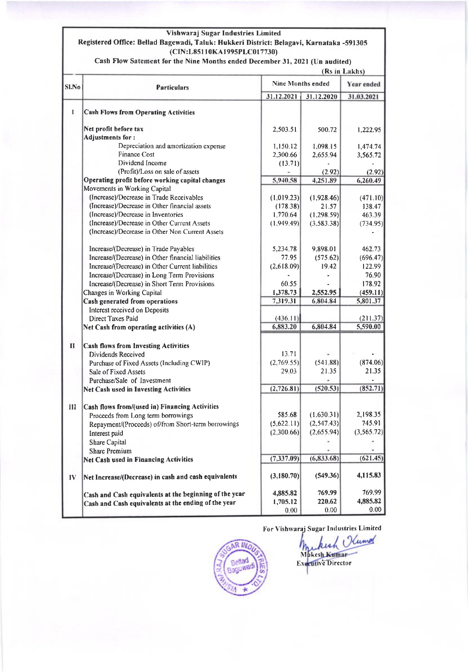#### Vishwaraj Sugar Industries Limited

#### Registered Office: Bellad Bagewadi, Taluk: Hukkeri District: Belagavi, Karnataka -591305 (CIN:L85110KA1995PLC017730)

Cash Flow Satement for the Nine Months ended December 31, 2021 (Un audited)

|              |                                                        | (Rs in Lakhs)            |             |                   |  |  |
|--------------|--------------------------------------------------------|--------------------------|-------------|-------------------|--|--|
| <b>SI.No</b> | <b>Particulars</b>                                     | <b>Nine Months ended</b> | Year ended  |                   |  |  |
|              |                                                        | 31.12.2021               | 31.12.2020  | 31.03.2021        |  |  |
| $\mathbf{I}$ | <b>Cash Flows from Operating Activities</b>            |                          |             |                   |  |  |
|              | Net profit before tax                                  | 2,503.51                 | 500.72      | 1,222.95          |  |  |
|              | Adjustments for:                                       |                          |             |                   |  |  |
|              | Depreciation and amortization expense                  | 1,150.12                 | 1,098.15    | 1,474.74          |  |  |
|              | <b>Finance Cost</b>                                    | 2,300.66                 | 2,655.94    | 3,565.72          |  |  |
|              | Dividend Income                                        | (13.71)                  |             |                   |  |  |
|              | (Profit)/Loss on sale of assets                        |                          | (2.92)      | (2.92)            |  |  |
|              | Operating profit before working capital changes        | 5,940.58                 | 4,251.89    | 6,260.49          |  |  |
|              | Movements in Working Capital                           |                          |             |                   |  |  |
|              | (Increase)/Decrease in Trade Receivables               | (1,019.23)               | (1,928.46)  | (471.10)          |  |  |
|              | (Increase)/Decrease in Other financial assets          | (178.38)                 | 21.57       | 138.47            |  |  |
|              | (Increase)/Decrease in Inventories                     | 1,770.64                 | (1,298.59)  | 463.39            |  |  |
|              | (Increase)/Decrease in Other Current Assets            | (1,949.49)               | (3,583.38)  | (734.95)          |  |  |
|              | (Increase)/Decrease in Other Non Current Assets        |                          |             |                   |  |  |
|              | Increase/(Decrease) in Trade Payables                  | 5,234.78                 | 9,898.01    | 462.73            |  |  |
|              | Increase/(Decrease) in Other financial liabilities     | 77.95                    | (575.62)    | (696.47)          |  |  |
|              | Increase/(Decrease) in Other Current liabilities       | (2,618.09)               | 19.42       | 122.99            |  |  |
|              | Increase/(Decrease) in Long Term Provisions            |                          |             | 76.90             |  |  |
|              | Increase/(Decrease) in Short Term Provisions           | 60.55                    |             | 178.92            |  |  |
|              | Changes in Working Capital                             | 1,378.73                 | 2,552.95    | (459.11)          |  |  |
|              | Cash generated from operations                         | 7,319.31                 | 6,804.84    | 5,801.37          |  |  |
|              | Interest received on Deposits                          |                          |             |                   |  |  |
|              | Direct Taxes Paid                                      | (436.11)                 |             | (211.37)          |  |  |
|              | Net Cash from operating activities (A)                 | 6,883.20                 | 6,804.84    | 5,590.00          |  |  |
| $\mathbf{I}$ | <b>Cash flows from Investing Activities</b>            |                          |             |                   |  |  |
|              | Dividends Received                                     | 13.71                    |             |                   |  |  |
|              | Purchase of Fixed Assets (Including CWIP)              | (2,769.55)               | (541.88)    | (874.06)          |  |  |
|              | Sale of Fixed Assets                                   | 29.03                    | 21.35       | 21.35             |  |  |
|              | Purchase/Sale of Investment                            |                          |             |                   |  |  |
|              | Net Cash used in Investing Activities                  | (2,726.81)               | (520.53)    | (852.71)          |  |  |
| Ш            | Cash flows from/(used in) Financing Activities         |                          |             |                   |  |  |
|              | Proceeds from Long term borrowings                     | 585.68                   | (1,630.31)  | 2,198.35          |  |  |
|              | Repayment/(Proceeds) of/from Short-term borrowings     | (5,622.11)               | (2,547.43)  | 745.91            |  |  |
|              | Interest paid                                          | (2,300.66)               | (2,655.94)  | (3,565.72)        |  |  |
|              | Share Capital                                          |                          |             |                   |  |  |
|              | <b>Share Premium</b>                                   |                          |             | $\blacksquare$    |  |  |
|              | <b>Net Cash used in Financing Activities</b>           | (7, 337.09)              | (6, 833.68) | (621.45)          |  |  |
| $\bf{IV}$    | Net Increase/(Decrease) in cash and cash equivalents   | (3,180.70)               | (549.36)    | 4,115.83          |  |  |
|              | Cash and Cash equivalents at the beginning of the year | 4,885.82                 | 769.99      | 769.99            |  |  |
|              | Cash and Cash equivalents at the ending of the year    | 1,705.12                 | 220.62      | 4,885.82          |  |  |
|              |                                                        | 0.00                     | 0.00        | 0.00 <sub>1</sub> |  |  |

For Vishwaraj Sugar Industries Limited



Kumor  $\mathfrak{c}$ Mukich Executive Director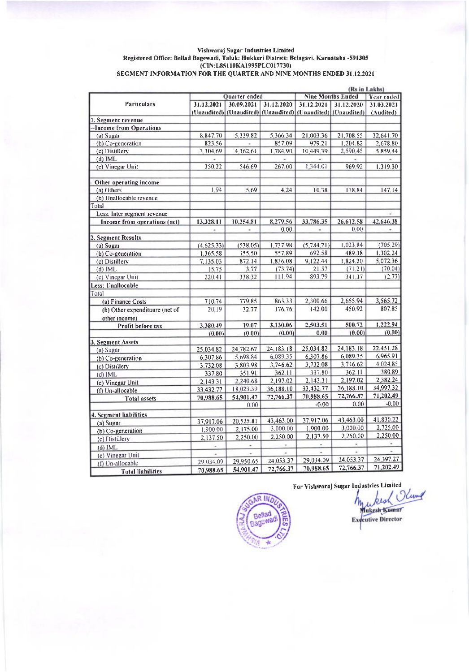## Vishwaraj Sugar Industries Limited<br>Registered Office: Bellad Bagewadi, Taluk: Hukkeri District: Belagavi, Karnataka -591305 EXECUTE OF THE CONSTRUCTION OF THE QUARTER AND NINE MONTHS ENDED 31.12.2021

|                                |            |                                                             |                          |                                               |                | (Rs in Lakhs) |  |  |  |
|--------------------------------|------------|-------------------------------------------------------------|--------------------------|-----------------------------------------------|----------------|---------------|--|--|--|
|                                |            | Quarter ended                                               |                          | <b>Nine Months Ended</b><br><b>Year ended</b> |                |               |  |  |  |
| <b>Particulars</b>             | 31.12.2021 | 30.09.2021                                                  | 31.12.2020               | 31.12.2021                                    | 31.12.2020     | 31.03.2021    |  |  |  |
|                                |            | (Unaudited) (Unaudited) (Unaudited) (Unaudited) (Unaudited) |                          |                                               |                | (Audited)     |  |  |  |
| 1. Segment revenue             |            |                                                             |                          |                                               |                |               |  |  |  |
| -Income from Operations        |            |                                                             |                          |                                               |                |               |  |  |  |
| (a) Sugar                      | 8,847.70   | 5,339.82                                                    | 5,366.34                 | 21,003.36                                     | 21,708.55      | 32,641.70     |  |  |  |
| (b) Co-generation              | 823.56     | $\overline{\phantom{a}}$                                    | 857.09                   | 979 21                                        | 1,204 82       | 2,678.80      |  |  |  |
| (c) Distillery                 | 3,304.69   | 4,362.61                                                    | 1,784.90                 | 10,449.39                                     | 2,590.45       | 5,859.44      |  |  |  |
| $(d)$ IML                      | У.         | $\sim$                                                      | w.                       | w.                                            | $\sim$         |               |  |  |  |
| (e) Vinegar Unit               | 350.22     | 546.69                                                      | 267,00                   | 1,344.01                                      | 969.92         | 1,319.30      |  |  |  |
|                                |            |                                                             |                          |                                               |                |               |  |  |  |
| Other operating income         |            |                                                             |                          |                                               |                |               |  |  |  |
| (a) Others                     | 1.94       | 5.69                                                        | 4.24                     | 10.38                                         | 138.84         | 147.14        |  |  |  |
| (b) Unallocable revenue        |            |                                                             |                          |                                               |                |               |  |  |  |
| Total                          |            |                                                             |                          |                                               |                |               |  |  |  |
| Less: Inter segment revenue    |            |                                                             |                          |                                               |                |               |  |  |  |
| Income from operations (net)   | 13,328.11  | 10,254.81                                                   | 8,279.56                 | 33,786.35                                     | 26,612.58      | 42,646.38     |  |  |  |
|                                | ٠          | ×.                                                          | 0.00                     | $\sim$                                        | 0.00           | ۰             |  |  |  |
| 2. Segment Results             |            |                                                             |                          |                                               |                |               |  |  |  |
| (a) Sugar                      | (4,625,33) | (538.05)                                                    | 1,737.98                 | (5,784.21)                                    | 1,023.84       | (705.29)      |  |  |  |
| (b) Co-generation              | 1.365.58   | 155.50                                                      | 557.89                   | 692.58                                        | 489.38         | 1,302.24      |  |  |  |
| (c) Distillery                 | 7.135.03   | 872 14                                                      | 1,836.08                 | 9,122.44                                      | 1,824.20       | 5,072.36      |  |  |  |
| $(d)$ IML                      | 15.75      | 3.77                                                        | (73, 74)                 | 21.57                                         | (71.21)        | (70.04)       |  |  |  |
| (e) Vinegar Unit               | 220.41     | 338 32                                                      | 111.94                   | 893.79                                        | 341.37         | (2.77)        |  |  |  |
| Less: Unallocable              |            |                                                             |                          |                                               |                |               |  |  |  |
| Total                          |            |                                                             |                          |                                               |                |               |  |  |  |
| (a) Finance Costs              | 710.74     | 779.85                                                      | 863.33                   | 2,300.66                                      | 2,655.94       | 3,565.72      |  |  |  |
| (b) Other expendituure (net of | 20.19      | 32.77                                                       | 176.76                   | 142.00                                        | 450.92         | 807.85        |  |  |  |
| other income)                  |            |                                                             |                          |                                               |                |               |  |  |  |
| Profit before tax              | 3,380.49   | 19.07                                                       | 3,130.06                 | 2,503.51                                      | 500.72         | 1,222.94      |  |  |  |
|                                | (0.00)     | (0.00)                                                      | (0.00)                   | 0.00                                          | (0.00)         | (0.00)        |  |  |  |
| 3. Segment Assets              |            |                                                             |                          |                                               |                |               |  |  |  |
| (a) Sugar                      | 25,034.82  | 24,782.67                                                   | 24.183.18                | 25,034.82                                     | 24,183.18      | 22,451.28     |  |  |  |
| $(b) Co-generation$            | 6.307.86   | 5,698.84                                                    | 6,089.35                 | 6,307.86                                      | 6,089.35       | 6,965.91      |  |  |  |
| (c) Distillery                 | 3,732.08   | 3,803.98                                                    | 3,746.62                 | 3,732.08                                      | 3,746.62       | 4,024.85      |  |  |  |
| $(d)$ IML                      | 337.80     | 351.91                                                      | 362.11                   | 337.80                                        | 362.11         | 380.89        |  |  |  |
| (e) Vinegar Unit               | 2.143.31   | 2,240.68                                                    | 2,197.02                 | 2.143.31                                      | 2,197.02       | 2,382.24      |  |  |  |
| (f) Un-allocable               | 33,432.77  | 18,023.39                                                   | 36,188.10                | 33,432.77                                     | 36,188.10      | 34,997.32     |  |  |  |
| <b>Total assets</b>            | 70,988.65  | 54,901.47                                                   | 72,766.37                | 70,988.65                                     | 72,766.37      | 71,202.49     |  |  |  |
|                                |            | 0.00                                                        |                          | $-0.00$                                       | 0.00           | $-0.00$       |  |  |  |
| 4. Segment liabilities         |            |                                                             |                          |                                               |                |               |  |  |  |
|                                | 37,917.06  | 20,525.81                                                   | 43,463.00                | 37.917.06                                     | 43,463.00      | 41,830.22     |  |  |  |
| $(a)$ Sugar                    | 1,900.00   | 2,175.00                                                    | 3,000.00                 | 1,900.00                                      | 3,000.00       | 2,725.00      |  |  |  |
| (b) Co-generation              | 2.137.50   | 2,250.00                                                    | 2,250.00                 | 2,137.50                                      | 2,250.00       | 2.250.00      |  |  |  |
| (c) Distillery                 |            | ۰                                                           | $\overline{\phantom{a}}$ | $\sim$                                        | $\blacksquare$ |               |  |  |  |
| $(d)$ IML                      | $\bullet$  |                                                             |                          | ٠                                             | ä,             |               |  |  |  |
| (e) Vinegar Unit               |            | 29.950.65                                                   | 24,053.37                | 29,034.09                                     | 24,053.37      | 24,397.27     |  |  |  |
| (f) Un-allocable               | 29.034.09  |                                                             | 72,766.37                | 70,988.65                                     | 72,766.37      | 71,202.49     |  |  |  |
| <b>Total liabilities</b>       | 70,988.65  | 54,901.47                                                   |                          |                                               |                |               |  |  |  |

R IN. Bellad agewa

For Vishwaraj Sugar Industries Limited kesh Olung Mukesh Kumar **Executive Director**